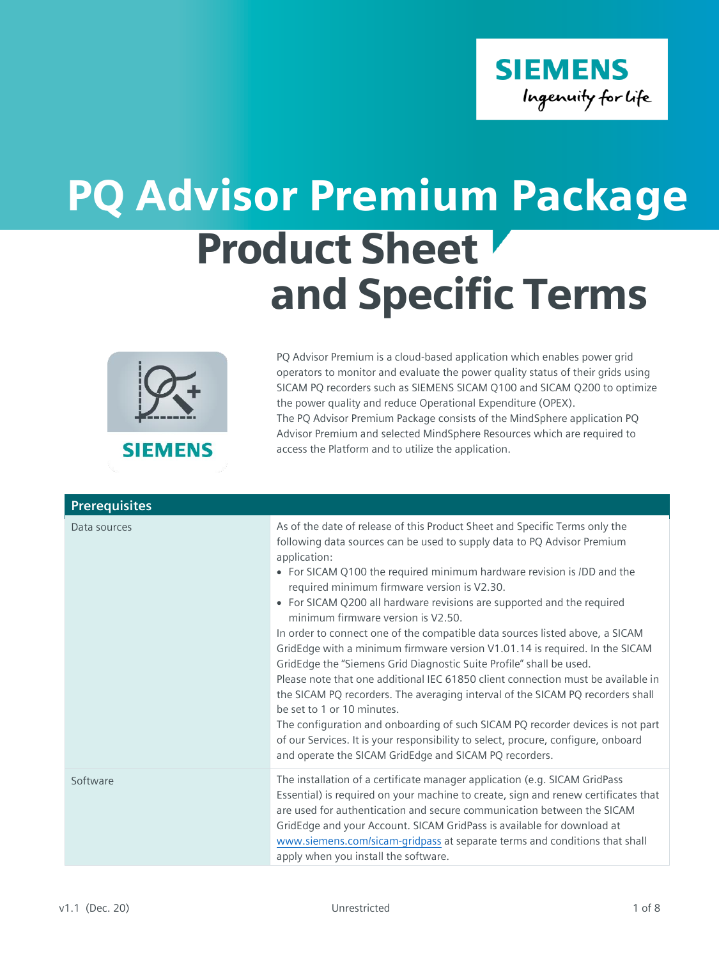

## Product Sheet and Specific Terms PQ Advisor Premium Package



**SIEMENS** 

PQ Advisor Premium is a cloud-based application which enables power grid operators to monitor and evaluate the power quality status of their grids using SICAM PQ recorders such as SIEMENS SICAM Q100 and SICAM Q200 to optimize the power quality and reduce Operational Expenditure (OPEX). The PQ Advisor Premium Package consists of the MindSphere application PQ Advisor Premium and selected MindSphere Resources which are required to access the Platform and to utilize the application.

| <b>Prerequisites</b> |                                                                                                                                                                                                                                                                                                                                                                                                                                                                                                                                                                                                                                                                                                                                                                                                                                                                                                                                                                                                                                                                                            |
|----------------------|--------------------------------------------------------------------------------------------------------------------------------------------------------------------------------------------------------------------------------------------------------------------------------------------------------------------------------------------------------------------------------------------------------------------------------------------------------------------------------------------------------------------------------------------------------------------------------------------------------------------------------------------------------------------------------------------------------------------------------------------------------------------------------------------------------------------------------------------------------------------------------------------------------------------------------------------------------------------------------------------------------------------------------------------------------------------------------------------|
| Data sources         | As of the date of release of this Product Sheet and Specific Terms only the<br>following data sources can be used to supply data to PQ Advisor Premium<br>application:<br>• For SICAM Q100 the required minimum hardware revision is /DD and the<br>required minimum firmware version is V2.30.<br>• For SICAM Q200 all hardware revisions are supported and the required<br>minimum firmware version is V2.50.<br>In order to connect one of the compatible data sources listed above, a SICAM<br>GridEdge with a minimum firmware version V1.01.14 is required. In the SICAM<br>GridEdge the "Siemens Grid Diagnostic Suite Profile" shall be used.<br>Please note that one additional IEC 61850 client connection must be available in<br>the SICAM PQ recorders. The averaging interval of the SICAM PQ recorders shall<br>be set to 1 or 10 minutes.<br>The configuration and onboarding of such SICAM PQ recorder devices is not part<br>of our Services. It is your responsibility to select, procure, configure, onboard<br>and operate the SICAM GridEdge and SICAM PQ recorders. |
| Software             | The installation of a certificate manager application (e.g. SICAM GridPass<br>Essential) is required on your machine to create, sign and renew certificates that<br>are used for authentication and secure communication between the SICAM<br>GridEdge and your Account. SICAM GridPass is available for download at<br>www.siemens.com/sicam-gridpass at separate terms and conditions that shall<br>apply when you install the software.                                                                                                                                                                                                                                                                                                                                                                                                                                                                                                                                                                                                                                                 |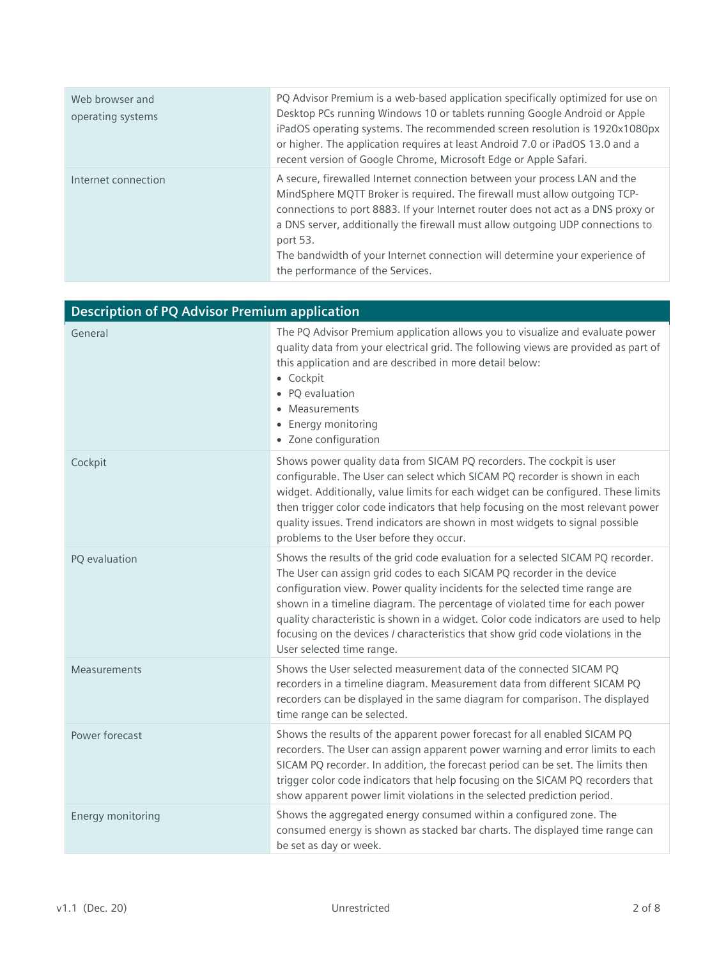| Web browser and<br>operating systems | PQ Advisor Premium is a web-based application specifically optimized for use on<br>Desktop PCs running Windows 10 or tablets running Google Android or Apple<br>iPadOS operating systems. The recommended screen resolution is 1920x1080px<br>or higher. The application requires at least Android 7.0 or iPadOS 13.0 and a<br>recent version of Google Chrome, Microsoft Edge or Apple Safari.                                                             |
|--------------------------------------|-------------------------------------------------------------------------------------------------------------------------------------------------------------------------------------------------------------------------------------------------------------------------------------------------------------------------------------------------------------------------------------------------------------------------------------------------------------|
| Internet connection                  | A secure, firewalled Internet connection between your process LAN and the<br>MindSphere MQTT Broker is required. The firewall must allow outgoing TCP-<br>connections to port 8883. If your Internet router does not act as a DNS proxy or<br>a DNS server, additionally the firewall must allow outgoing UDP connections to<br>port 53.<br>The bandwidth of your Internet connection will determine your experience of<br>the performance of the Services. |

| <b>Description of PQ Advisor Premium application</b> |                                                                                                                                                                                                                                                                                                                                                                                                                                                                                                                                |  |
|------------------------------------------------------|--------------------------------------------------------------------------------------------------------------------------------------------------------------------------------------------------------------------------------------------------------------------------------------------------------------------------------------------------------------------------------------------------------------------------------------------------------------------------------------------------------------------------------|--|
| General                                              | The PQ Advisor Premium application allows you to visualize and evaluate power<br>quality data from your electrical grid. The following views are provided as part of<br>this application and are described in more detail below:<br>• Cockpit<br>• PQ evaluation<br>Measurements<br>• Energy monitoring<br>• Zone configuration                                                                                                                                                                                                |  |
| Cockpit                                              | Shows power quality data from SICAM PQ recorders. The cockpit is user<br>configurable. The User can select which SICAM PQ recorder is shown in each<br>widget. Additionally, value limits for each widget can be configured. These limits<br>then trigger color code indicators that help focusing on the most relevant power<br>quality issues. Trend indicators are shown in most widgets to signal possible<br>problems to the User before they occur.                                                                      |  |
| PQ evaluation                                        | Shows the results of the grid code evaluation for a selected SICAM PQ recorder.<br>The User can assign grid codes to each SICAM PQ recorder in the device<br>configuration view. Power quality incidents for the selected time range are<br>shown in a timeline diagram. The percentage of violated time for each power<br>quality characteristic is shown in a widget. Color code indicators are used to help<br>focusing on the devices / characteristics that show grid code violations in the<br>User selected time range. |  |
| <b>Measurements</b>                                  | Shows the User selected measurement data of the connected SICAM PQ<br>recorders in a timeline diagram. Measurement data from different SICAM PQ<br>recorders can be displayed in the same diagram for comparison. The displayed<br>time range can be selected.                                                                                                                                                                                                                                                                 |  |
| Power forecast                                       | Shows the results of the apparent power forecast for all enabled SICAM PQ<br>recorders. The User can assign apparent power warning and error limits to each<br>SICAM PQ recorder. In addition, the forecast period can be set. The limits then<br>trigger color code indicators that help focusing on the SICAM PQ recorders that<br>show apparent power limit violations in the selected prediction period.                                                                                                                   |  |
| Energy monitoring                                    | Shows the aggregated energy consumed within a configured zone. The<br>consumed energy is shown as stacked bar charts. The displayed time range can<br>be set as day or week.                                                                                                                                                                                                                                                                                                                                                   |  |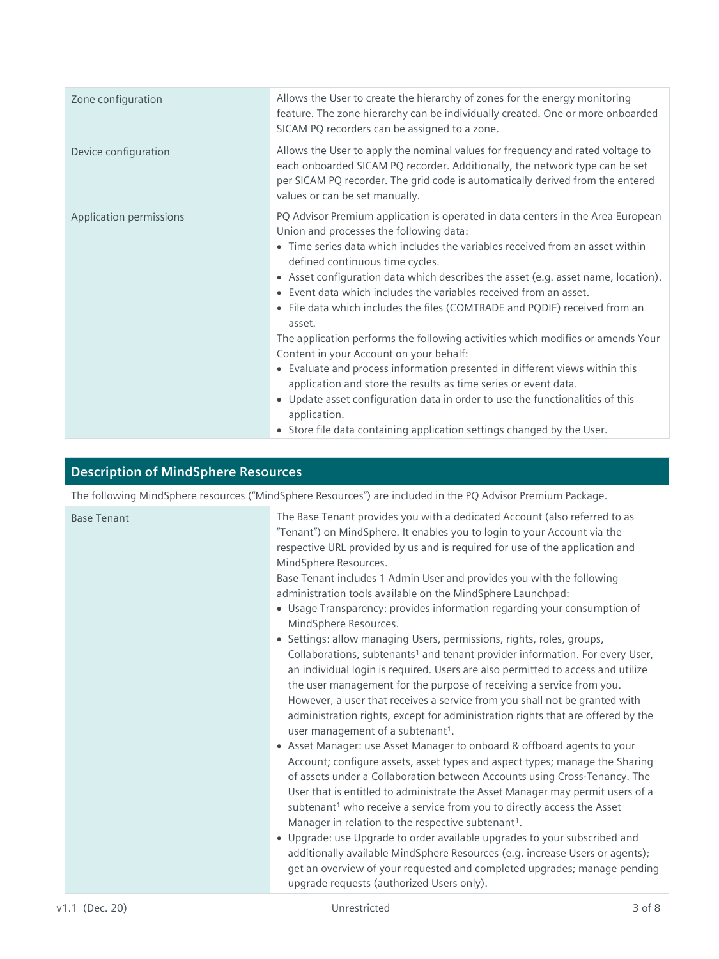| Zone configuration      | Allows the User to create the hierarchy of zones for the energy monitoring<br>feature. The zone hierarchy can be individually created. One or more onboarded<br>SICAM PQ recorders can be assigned to a zone.                                                                                                                                                                                                                                                                                                                                                                                                                                                                                                                                                                                                                                                                                                                                               |
|-------------------------|-------------------------------------------------------------------------------------------------------------------------------------------------------------------------------------------------------------------------------------------------------------------------------------------------------------------------------------------------------------------------------------------------------------------------------------------------------------------------------------------------------------------------------------------------------------------------------------------------------------------------------------------------------------------------------------------------------------------------------------------------------------------------------------------------------------------------------------------------------------------------------------------------------------------------------------------------------------|
| Device configuration    | Allows the User to apply the nominal values for frequency and rated voltage to<br>each onboarded SICAM PQ recorder. Additionally, the network type can be set<br>per SICAM PQ recorder. The grid code is automatically derived from the entered<br>values or can be set manually.                                                                                                                                                                                                                                                                                                                                                                                                                                                                                                                                                                                                                                                                           |
| Application permissions | PQ Advisor Premium application is operated in data centers in the Area European<br>Union and processes the following data:<br>• Time series data which includes the variables received from an asset within<br>defined continuous time cycles.<br>• Asset configuration data which describes the asset (e.g. asset name, location).<br>• Event data which includes the variables received from an asset.<br>• File data which includes the files (COMTRADE and PQDIF) received from an<br>asset.<br>The application performs the following activities which modifies or amends Your<br>Content in your Account on your behalf:<br>• Evaluate and process information presented in different views within this<br>application and store the results as time series or event data.<br>• Update asset configuration data in order to use the functionalities of this<br>application.<br>• Store file data containing application settings changed by the User. |

## **Description of MindSphere Resources**

| The following MindSphere resources ("MindSphere Resources") are included in the PQ Advisor Premium Package. |                                                                                                                                                                                                                                                                                                                                                                                                                                                                                                                                                                                                                                                                                                                                                                                                                                                                                                                                                                                                                                                                                                                                                                                                                                                                                                                                                                                                                                                                                                                                                                                                                                                                                                                                                                                                                                      |  |
|-------------------------------------------------------------------------------------------------------------|--------------------------------------------------------------------------------------------------------------------------------------------------------------------------------------------------------------------------------------------------------------------------------------------------------------------------------------------------------------------------------------------------------------------------------------------------------------------------------------------------------------------------------------------------------------------------------------------------------------------------------------------------------------------------------------------------------------------------------------------------------------------------------------------------------------------------------------------------------------------------------------------------------------------------------------------------------------------------------------------------------------------------------------------------------------------------------------------------------------------------------------------------------------------------------------------------------------------------------------------------------------------------------------------------------------------------------------------------------------------------------------------------------------------------------------------------------------------------------------------------------------------------------------------------------------------------------------------------------------------------------------------------------------------------------------------------------------------------------------------------------------------------------------------------------------------------------------|--|
| <b>Base Tenant</b>                                                                                          | The Base Tenant provides you with a dedicated Account (also referred to as<br>"Tenant") on MindSphere. It enables you to login to your Account via the<br>respective URL provided by us and is required for use of the application and<br>MindSphere Resources.<br>Base Tenant includes 1 Admin User and provides you with the following<br>administration tools available on the MindSphere Launchpad:<br>• Usage Transparency: provides information regarding your consumption of<br>MindSphere Resources.<br>• Settings: allow managing Users, permissions, rights, roles, groups,<br>Collaborations, subtenants <sup>1</sup> and tenant provider information. For every User,<br>an individual login is required. Users are also permitted to access and utilize<br>the user management for the purpose of receiving a service from you.<br>However, a user that receives a service from you shall not be granted with<br>administration rights, except for administration rights that are offered by the<br>user management of a subtenant <sup>1</sup> .<br>• Asset Manager: use Asset Manager to onboard & offboard agents to your<br>Account; configure assets, asset types and aspect types; manage the Sharing<br>of assets under a Collaboration between Accounts using Cross-Tenancy. The<br>User that is entitled to administrate the Asset Manager may permit users of a<br>subtenant <sup>1</sup> who receive a service from you to directly access the Asset<br>Manager in relation to the respective subtenant <sup>1</sup> .<br>• Upgrade: use Upgrade to order available upgrades to your subscribed and<br>additionally available MindSphere Resources (e.g. increase Users or agents);<br>get an overview of your requested and completed upgrades; manage pending<br>upgrade requests (authorized Users only). |  |
|                                                                                                             |                                                                                                                                                                                                                                                                                                                                                                                                                                                                                                                                                                                                                                                                                                                                                                                                                                                                                                                                                                                                                                                                                                                                                                                                                                                                                                                                                                                                                                                                                                                                                                                                                                                                                                                                                                                                                                      |  |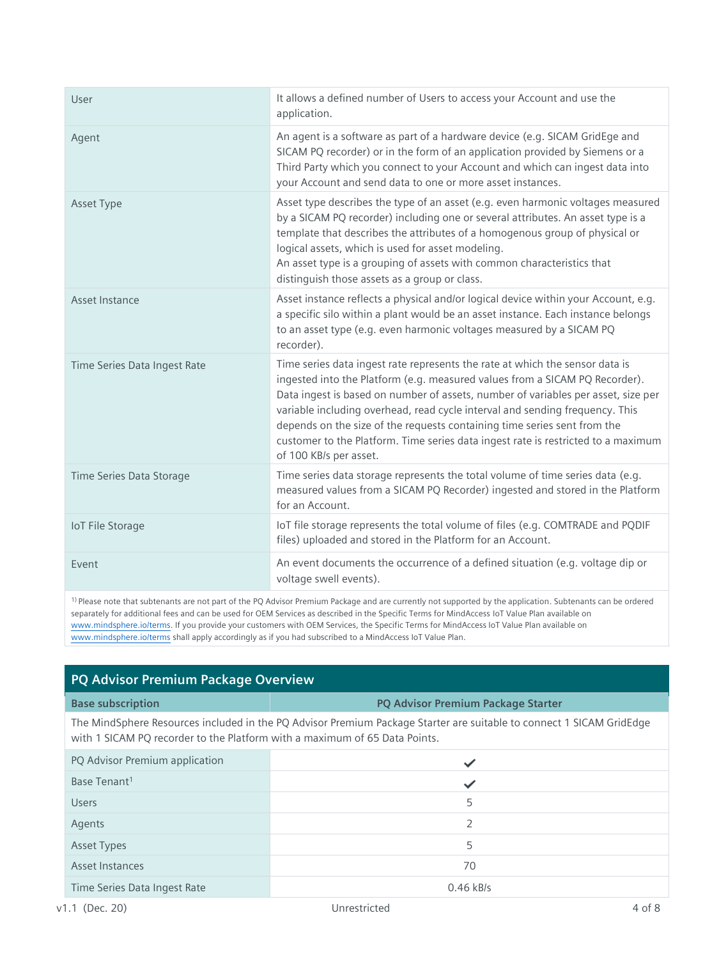| User                         | It allows a defined number of Users to access your Account and use the<br>application.                                                                                                                                                                                                                                                                                                                                                                                                                                      |
|------------------------------|-----------------------------------------------------------------------------------------------------------------------------------------------------------------------------------------------------------------------------------------------------------------------------------------------------------------------------------------------------------------------------------------------------------------------------------------------------------------------------------------------------------------------------|
| Agent                        | An agent is a software as part of a hardware device (e.g. SICAM GridEge and<br>SICAM PQ recorder) or in the form of an application provided by Siemens or a<br>Third Party which you connect to your Account and which can ingest data into<br>your Account and send data to one or more asset instances.                                                                                                                                                                                                                   |
| Asset Type                   | Asset type describes the type of an asset (e.g. even harmonic voltages measured<br>by a SICAM PQ recorder) including one or several attributes. An asset type is a<br>template that describes the attributes of a homogenous group of physical or<br>logical assets, which is used for asset modeling.<br>An asset type is a grouping of assets with common characteristics that<br>distinguish those assets as a group or class.                                                                                           |
| Asset Instance               | Asset instance reflects a physical and/or logical device within your Account, e.g.<br>a specific silo within a plant would be an asset instance. Each instance belongs<br>to an asset type (e.g. even harmonic voltages measured by a SICAM PQ<br>recorder).                                                                                                                                                                                                                                                                |
| Time Series Data Ingest Rate | Time series data ingest rate represents the rate at which the sensor data is<br>ingested into the Platform (e.g. measured values from a SICAM PQ Recorder).<br>Data ingest is based on number of assets, number of variables per asset, size per<br>variable including overhead, read cycle interval and sending frequency. This<br>depends on the size of the requests containing time series sent from the<br>customer to the Platform. Time series data ingest rate is restricted to a maximum<br>of 100 KB/s per asset. |
| Time Series Data Storage     | Time series data storage represents the total volume of time series data (e.g.<br>measured values from a SICAM PQ Recorder) ingested and stored in the Platform<br>for an Account.                                                                                                                                                                                                                                                                                                                                          |
| <b>IoT File Storage</b>      | IoT file storage represents the total volume of files (e.g. COMTRADE and PQDIF<br>files) uploaded and stored in the Platform for an Account.                                                                                                                                                                                                                                                                                                                                                                                |
| Fvent                        | An event documents the occurrence of a defined situation (e.g. voltage dip or<br>voltage swell events).                                                                                                                                                                                                                                                                                                                                                                                                                     |
|                              |                                                                                                                                                                                                                                                                                                                                                                                                                                                                                                                             |

1) Please note that subtenants are not part of the PQ Advisor Premium Package and are currently not supported by the application. Subtenants can be ordered separately for additional fees and can be used for OEM Services as described in the Specific Terms for MindAccess IoT Value Plan available on [www.mindsphere.io/terms.](http://www.mindsphere.io/terms) If you provide your customers with OEM Services, the Specific Terms for MindAccess IoT Value Plan available on [www.mindsphere.io/terms](http://www.mindsphere.io/terms) shall apply accordingly as if you had subscribed to a MindAccess IoT Value Plan.

## **PQ Advisor Premium Package Overview**

| <b>Base subscription</b>                                                                                                                                                                           | <b>PQ Advisor Premium Package Starter</b> |
|----------------------------------------------------------------------------------------------------------------------------------------------------------------------------------------------------|-------------------------------------------|
| The MindSphere Resources included in the PQ Advisor Premium Package Starter are suitable to connect 1 SICAM GridEdge<br>with 1 SICAM PQ recorder to the Platform with a maximum of 65 Data Points. |                                           |
| PQ Advisor Premium application                                                                                                                                                                     |                                           |
| Base Tenant <sup>1</sup>                                                                                                                                                                           | ✓                                         |
| Users                                                                                                                                                                                              | 5                                         |
| Agents                                                                                                                                                                                             | $\overline{2}$                            |
| <b>Asset Types</b>                                                                                                                                                                                 | 5                                         |
| Asset Instances                                                                                                                                                                                    | 70                                        |
| Time Series Data Ingest Rate                                                                                                                                                                       | $0.46$ kB/s                               |
|                                                                                                                                                                                                    |                                           |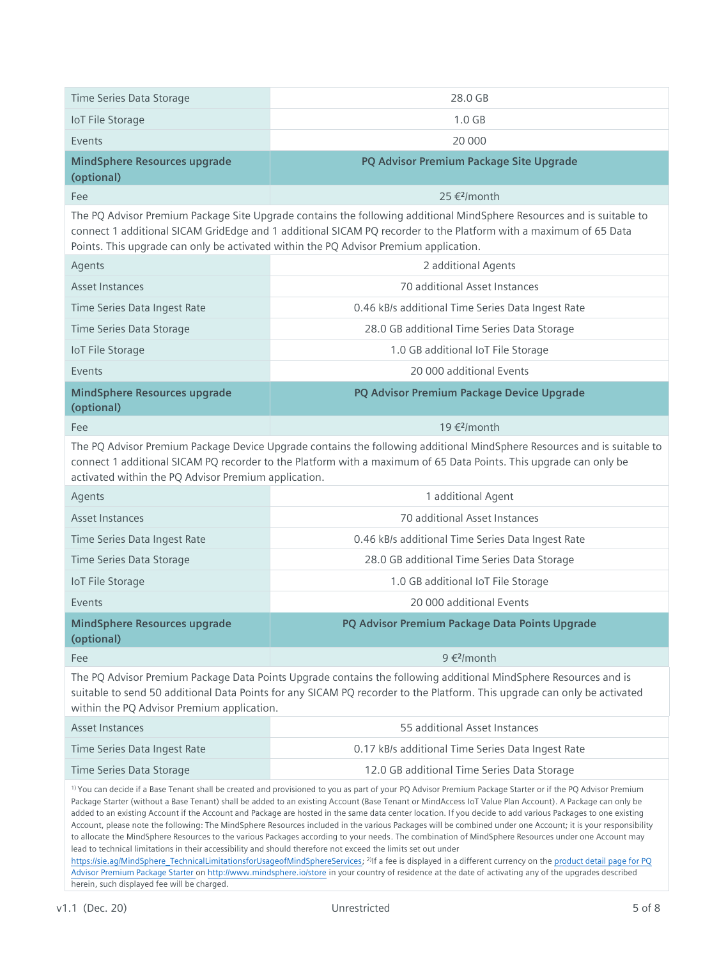| Time Series Data Storage                                                                                                                                                                                                                                                                                                                                                                                                                                                                                                                                                                                                                                                                                                                                                                                                                                                                                                                                                                                                                                                                                                                                                                                                                                                                                                    | 28.0 GB                                                                                                                                                                                                                                                                                                                            |
|-----------------------------------------------------------------------------------------------------------------------------------------------------------------------------------------------------------------------------------------------------------------------------------------------------------------------------------------------------------------------------------------------------------------------------------------------------------------------------------------------------------------------------------------------------------------------------------------------------------------------------------------------------------------------------------------------------------------------------------------------------------------------------------------------------------------------------------------------------------------------------------------------------------------------------------------------------------------------------------------------------------------------------------------------------------------------------------------------------------------------------------------------------------------------------------------------------------------------------------------------------------------------------------------------------------------------------|------------------------------------------------------------------------------------------------------------------------------------------------------------------------------------------------------------------------------------------------------------------------------------------------------------------------------------|
| <b>IoT File Storage</b>                                                                                                                                                                                                                                                                                                                                                                                                                                                                                                                                                                                                                                                                                                                                                                                                                                                                                                                                                                                                                                                                                                                                                                                                                                                                                                     | 1.0 <sub>GB</sub>                                                                                                                                                                                                                                                                                                                  |
| Events                                                                                                                                                                                                                                                                                                                                                                                                                                                                                                                                                                                                                                                                                                                                                                                                                                                                                                                                                                                                                                                                                                                                                                                                                                                                                                                      | 20 000                                                                                                                                                                                                                                                                                                                             |
| <b>MindSphere Resources upgrade</b><br>(optional)                                                                                                                                                                                                                                                                                                                                                                                                                                                                                                                                                                                                                                                                                                                                                                                                                                                                                                                                                                                                                                                                                                                                                                                                                                                                           | PQ Advisor Premium Package Site Upgrade                                                                                                                                                                                                                                                                                            |
| Fee                                                                                                                                                                                                                                                                                                                                                                                                                                                                                                                                                                                                                                                                                                                                                                                                                                                                                                                                                                                                                                                                                                                                                                                                                                                                                                                         | 25 € <sup>2</sup> /month                                                                                                                                                                                                                                                                                                           |
|                                                                                                                                                                                                                                                                                                                                                                                                                                                                                                                                                                                                                                                                                                                                                                                                                                                                                                                                                                                                                                                                                                                                                                                                                                                                                                                             | The PQ Advisor Premium Package Site Upgrade contains the following additional MindSphere Resources and is suitable to<br>connect 1 additional SICAM GridEdge and 1 additional SICAM PQ recorder to the Platform with a maximum of 65 Data<br>Points. This upgrade can only be activated within the PQ Advisor Premium application. |
| Agents                                                                                                                                                                                                                                                                                                                                                                                                                                                                                                                                                                                                                                                                                                                                                                                                                                                                                                                                                                                                                                                                                                                                                                                                                                                                                                                      | 2 additional Agents                                                                                                                                                                                                                                                                                                                |
| <b>Asset Instances</b>                                                                                                                                                                                                                                                                                                                                                                                                                                                                                                                                                                                                                                                                                                                                                                                                                                                                                                                                                                                                                                                                                                                                                                                                                                                                                                      | 70 additional Asset Instances                                                                                                                                                                                                                                                                                                      |
| Time Series Data Ingest Rate                                                                                                                                                                                                                                                                                                                                                                                                                                                                                                                                                                                                                                                                                                                                                                                                                                                                                                                                                                                                                                                                                                                                                                                                                                                                                                | 0.46 kB/s additional Time Series Data Ingest Rate                                                                                                                                                                                                                                                                                  |
| Time Series Data Storage                                                                                                                                                                                                                                                                                                                                                                                                                                                                                                                                                                                                                                                                                                                                                                                                                                                                                                                                                                                                                                                                                                                                                                                                                                                                                                    | 28.0 GB additional Time Series Data Storage                                                                                                                                                                                                                                                                                        |
| <b>IoT File Storage</b>                                                                                                                                                                                                                                                                                                                                                                                                                                                                                                                                                                                                                                                                                                                                                                                                                                                                                                                                                                                                                                                                                                                                                                                                                                                                                                     | 1.0 GB additional IoT File Storage                                                                                                                                                                                                                                                                                                 |
| Events                                                                                                                                                                                                                                                                                                                                                                                                                                                                                                                                                                                                                                                                                                                                                                                                                                                                                                                                                                                                                                                                                                                                                                                                                                                                                                                      | 20 000 additional Events                                                                                                                                                                                                                                                                                                           |
| <b>MindSphere Resources upgrade</b><br>(optional)                                                                                                                                                                                                                                                                                                                                                                                                                                                                                                                                                                                                                                                                                                                                                                                                                                                                                                                                                                                                                                                                                                                                                                                                                                                                           | PQ Advisor Premium Package Device Upgrade                                                                                                                                                                                                                                                                                          |
| Fee                                                                                                                                                                                                                                                                                                                                                                                                                                                                                                                                                                                                                                                                                                                                                                                                                                                                                                                                                                                                                                                                                                                                                                                                                                                                                                                         | 19 € <sup>2</sup> /month                                                                                                                                                                                                                                                                                                           |
| The PQ Advisor Premium Package Device Upgrade contains the following additional MindSphere Resources and is suitable to<br>connect 1 additional SICAM PQ recorder to the Platform with a maximum of 65 Data Points. This upgrade can only be<br>activated within the PQ Advisor Premium application.                                                                                                                                                                                                                                                                                                                                                                                                                                                                                                                                                                                                                                                                                                                                                                                                                                                                                                                                                                                                                        |                                                                                                                                                                                                                                                                                                                                    |
| Agents                                                                                                                                                                                                                                                                                                                                                                                                                                                                                                                                                                                                                                                                                                                                                                                                                                                                                                                                                                                                                                                                                                                                                                                                                                                                                                                      | 1 additional Agent                                                                                                                                                                                                                                                                                                                 |
| Asset Instances                                                                                                                                                                                                                                                                                                                                                                                                                                                                                                                                                                                                                                                                                                                                                                                                                                                                                                                                                                                                                                                                                                                                                                                                                                                                                                             | 70 additional Asset Instances                                                                                                                                                                                                                                                                                                      |
| Time Series Data Ingest Rate                                                                                                                                                                                                                                                                                                                                                                                                                                                                                                                                                                                                                                                                                                                                                                                                                                                                                                                                                                                                                                                                                                                                                                                                                                                                                                | 0.46 kB/s additional Time Series Data Ingest Rate                                                                                                                                                                                                                                                                                  |
| Time Series Data Storage                                                                                                                                                                                                                                                                                                                                                                                                                                                                                                                                                                                                                                                                                                                                                                                                                                                                                                                                                                                                                                                                                                                                                                                                                                                                                                    | 28.0 GB additional Time Series Data Storage                                                                                                                                                                                                                                                                                        |
| <b>IoT File Storage</b>                                                                                                                                                                                                                                                                                                                                                                                                                                                                                                                                                                                                                                                                                                                                                                                                                                                                                                                                                                                                                                                                                                                                                                                                                                                                                                     | 1.0 GB additional IoT File Storage                                                                                                                                                                                                                                                                                                 |
| Events                                                                                                                                                                                                                                                                                                                                                                                                                                                                                                                                                                                                                                                                                                                                                                                                                                                                                                                                                                                                                                                                                                                                                                                                                                                                                                                      | 20 000 additional Events                                                                                                                                                                                                                                                                                                           |
| <b>MindSphere Resources upgrade</b><br>(optional)                                                                                                                                                                                                                                                                                                                                                                                                                                                                                                                                                                                                                                                                                                                                                                                                                                                                                                                                                                                                                                                                                                                                                                                                                                                                           | PQ Advisor Premium Package Data Points Upgrade                                                                                                                                                                                                                                                                                     |
| Fee                                                                                                                                                                                                                                                                                                                                                                                                                                                                                                                                                                                                                                                                                                                                                                                                                                                                                                                                                                                                                                                                                                                                                                                                                                                                                                                         | 9 € <sup>2</sup> /month                                                                                                                                                                                                                                                                                                            |
| The PQ Advisor Premium Package Data Points Upgrade contains the following additional MindSphere Resources and is<br>suitable to send 50 additional Data Points for any SICAM PQ recorder to the Platform. This upgrade can only be activated<br>within the PQ Advisor Premium application.                                                                                                                                                                                                                                                                                                                                                                                                                                                                                                                                                                                                                                                                                                                                                                                                                                                                                                                                                                                                                                  |                                                                                                                                                                                                                                                                                                                                    |
| Asset Instances                                                                                                                                                                                                                                                                                                                                                                                                                                                                                                                                                                                                                                                                                                                                                                                                                                                                                                                                                                                                                                                                                                                                                                                                                                                                                                             | 55 additional Asset Instances                                                                                                                                                                                                                                                                                                      |
| Time Series Data Ingest Rate                                                                                                                                                                                                                                                                                                                                                                                                                                                                                                                                                                                                                                                                                                                                                                                                                                                                                                                                                                                                                                                                                                                                                                                                                                                                                                | 0.17 kB/s additional Time Series Data Ingest Rate                                                                                                                                                                                                                                                                                  |
| Time Series Data Storage                                                                                                                                                                                                                                                                                                                                                                                                                                                                                                                                                                                                                                                                                                                                                                                                                                                                                                                                                                                                                                                                                                                                                                                                                                                                                                    | 12.0 GB additional Time Series Data Storage                                                                                                                                                                                                                                                                                        |
| <sup>1)</sup> You can decide if a Base Tenant shall be created and provisioned to you as part of your PQ Advisor Premium Package Starter or if the PQ Advisor Premium<br>Package Starter (without a Base Tenant) shall be added to an existing Account (Base Tenant or MindAccess IoT Value Plan Account). A Package can only be<br>added to an existing Account if the Account and Package are hosted in the same data center location. If you decide to add various Packages to one existing<br>Account, please note the following: The MindSphere Resources included in the various Packages will be combined under one Account; it is your responsibility<br>to allocate the MindSphere Resources to the various Packages according to your needs. The combination of MindSphere Resources under one Account may<br>lead to technical limitations in their accessibility and should therefore not exceed the limits set out under<br>https://sie.ag/MindSphere TechnicalLimitationsforUsageofMindSphereServices; <sup>2)</sup> If a fee is displayed in a different currency on the product detail page for PQ<br>Advisor Premium Package Starter on http://www.mindsphere.io/store in your country of residence at the date of activating any of the upgrades described<br>herein, such displayed fee will be charged. |                                                                                                                                                                                                                                                                                                                                    |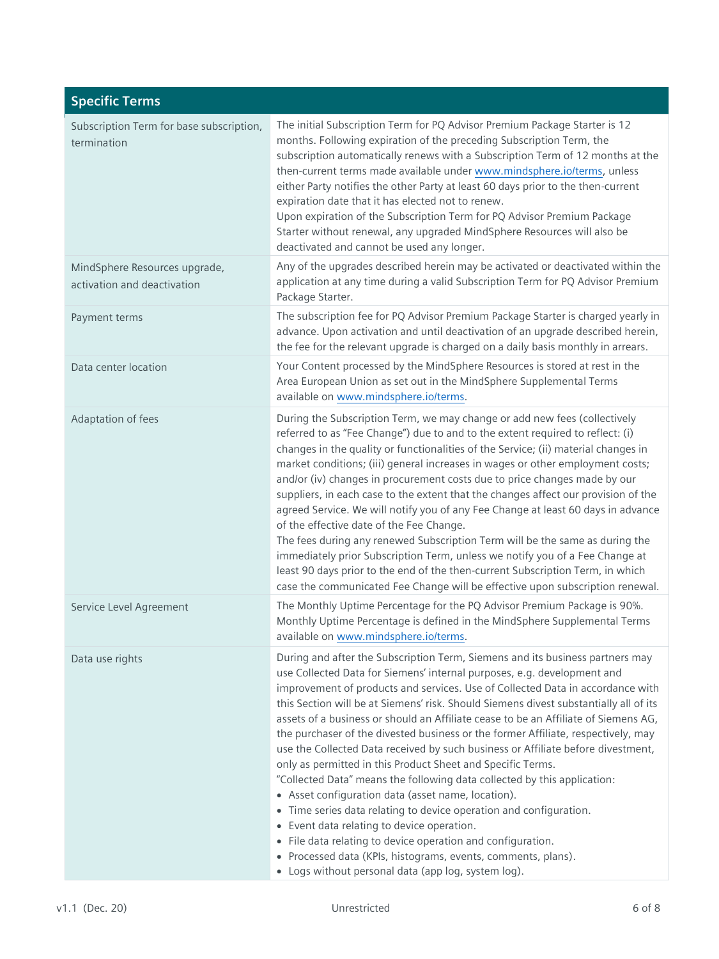| <b>Specific Terms</b>                                        |                                                                                                                                                                                                                                                                                                                                                                                                                                                                                                                                                                                                                                                                                                                                                                                                                                                                                                                                                                                                                                                                                                                 |
|--------------------------------------------------------------|-----------------------------------------------------------------------------------------------------------------------------------------------------------------------------------------------------------------------------------------------------------------------------------------------------------------------------------------------------------------------------------------------------------------------------------------------------------------------------------------------------------------------------------------------------------------------------------------------------------------------------------------------------------------------------------------------------------------------------------------------------------------------------------------------------------------------------------------------------------------------------------------------------------------------------------------------------------------------------------------------------------------------------------------------------------------------------------------------------------------|
| Subscription Term for base subscription,<br>termination      | The initial Subscription Term for PQ Advisor Premium Package Starter is 12<br>months. Following expiration of the preceding Subscription Term, the<br>subscription automatically renews with a Subscription Term of 12 months at the<br>then-current terms made available under www.mindsphere.io/terms, unless<br>either Party notifies the other Party at least 60 days prior to the then-current<br>expiration date that it has elected not to renew.<br>Upon expiration of the Subscription Term for PQ Advisor Premium Package<br>Starter without renewal, any upgraded MindSphere Resources will also be<br>deactivated and cannot be used any longer.                                                                                                                                                                                                                                                                                                                                                                                                                                                    |
| MindSphere Resources upgrade,<br>activation and deactivation | Any of the upgrades described herein may be activated or deactivated within the<br>application at any time during a valid Subscription Term for PQ Advisor Premium<br>Package Starter.                                                                                                                                                                                                                                                                                                                                                                                                                                                                                                                                                                                                                                                                                                                                                                                                                                                                                                                          |
| Payment terms                                                | The subscription fee for PQ Advisor Premium Package Starter is charged yearly in<br>advance. Upon activation and until deactivation of an upgrade described herein,<br>the fee for the relevant upgrade is charged on a daily basis monthly in arrears.                                                                                                                                                                                                                                                                                                                                                                                                                                                                                                                                                                                                                                                                                                                                                                                                                                                         |
| Data center location                                         | Your Content processed by the MindSphere Resources is stored at rest in the<br>Area European Union as set out in the MindSphere Supplemental Terms<br>available on www.mindsphere.io/terms.                                                                                                                                                                                                                                                                                                                                                                                                                                                                                                                                                                                                                                                                                                                                                                                                                                                                                                                     |
| Adaptation of fees                                           | During the Subscription Term, we may change or add new fees (collectively<br>referred to as "Fee Change") due to and to the extent required to reflect: (i)<br>changes in the quality or functionalities of the Service; (ii) material changes in<br>market conditions; (iii) general increases in wages or other employment costs;<br>and/or (iv) changes in procurement costs due to price changes made by our<br>suppliers, in each case to the extent that the changes affect our provision of the<br>agreed Service. We will notify you of any Fee Change at least 60 days in advance<br>of the effective date of the Fee Change.<br>The fees during any renewed Subscription Term will be the same as during the<br>immediately prior Subscription Term, unless we notify you of a Fee Change at<br>least 90 days prior to the end of the then-current Subscription Term, in which<br>case the communicated Fee Change will be effective upon subscription renewal.                                                                                                                                       |
| Service Level Agreement                                      | The Monthly Uptime Percentage for the PQ Advisor Premium Package is 90%.<br>Monthly Uptime Percentage is defined in the MindSphere Supplemental Terms<br>available on www.mindsphere.io/terms.                                                                                                                                                                                                                                                                                                                                                                                                                                                                                                                                                                                                                                                                                                                                                                                                                                                                                                                  |
| Data use rights                                              | During and after the Subscription Term, Siemens and its business partners may<br>use Collected Data for Siemens' internal purposes, e.g. development and<br>improvement of products and services. Use of Collected Data in accordance with<br>this Section will be at Siemens' risk. Should Siemens divest substantially all of its<br>assets of a business or should an Affiliate cease to be an Affiliate of Siemens AG,<br>the purchaser of the divested business or the former Affiliate, respectively, may<br>use the Collected Data received by such business or Affiliate before divestment,<br>only as permitted in this Product Sheet and Specific Terms.<br>"Collected Data" means the following data collected by this application:<br>• Asset configuration data (asset name, location).<br>• Time series data relating to device operation and configuration.<br>• Event data relating to device operation.<br>• File data relating to device operation and configuration.<br>• Processed data (KPIs, histograms, events, comments, plans).<br>• Logs without personal data (app log, system log). |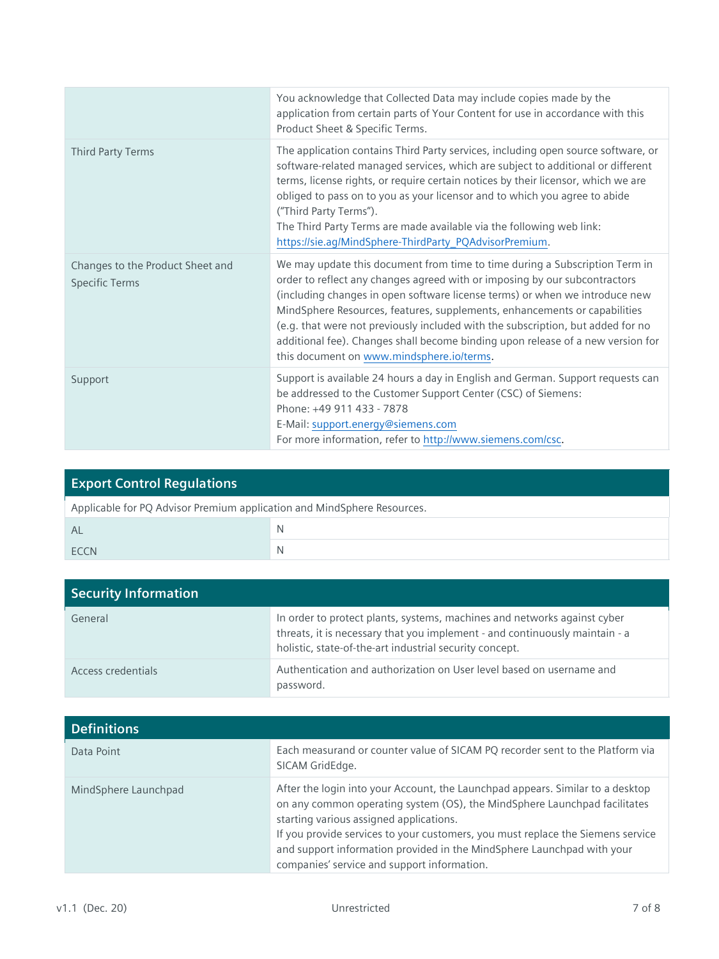|                                                           | You acknowledge that Collected Data may include copies made by the<br>application from certain parts of Your Content for use in accordance with this<br>Product Sheet & Specific Terms.                                                                                                                                                                                                                                                                                                                                                  |
|-----------------------------------------------------------|------------------------------------------------------------------------------------------------------------------------------------------------------------------------------------------------------------------------------------------------------------------------------------------------------------------------------------------------------------------------------------------------------------------------------------------------------------------------------------------------------------------------------------------|
| Third Party Terms                                         | The application contains Third Party services, including open source software, or<br>software-related managed services, which are subject to additional or different<br>terms, license rights, or require certain notices by their licensor, which we are<br>obliged to pass on to you as your licensor and to which you agree to abide<br>("Third Party Terms").<br>The Third Party Terms are made available via the following web link:<br>https://sie.ag/MindSphere-ThirdParty_PQAdvisorPremium.                                      |
| Changes to the Product Sheet and<br><b>Specific Terms</b> | We may update this document from time to time during a Subscription Term in<br>order to reflect any changes agreed with or imposing by our subcontractors<br>(including changes in open software license terms) or when we introduce new<br>MindSphere Resources, features, supplements, enhancements or capabilities<br>(e.g. that were not previously included with the subscription, but added for no<br>additional fee). Changes shall become binding upon release of a new version for<br>this document on www.mindsphere.io/terms. |
| Support                                                   | Support is available 24 hours a day in English and German. Support requests can<br>be addressed to the Customer Support Center (CSC) of Siemens:<br>Phone: +49 911 433 - 7878<br>E-Mail: support.energy@siemens.com<br>For more information, refer to http://www.siemens.com/csc.                                                                                                                                                                                                                                                        |

| <b>Export Control Requlations</b>                                       |   |  |
|-------------------------------------------------------------------------|---|--|
| Applicable for PQ Advisor Premium application and MindSphere Resources. |   |  |
| AL                                                                      | N |  |
| <b>FCCN</b>                                                             | N |  |

| <b>Security Information</b> |                                                                                                                                                                                                                    |
|-----------------------------|--------------------------------------------------------------------------------------------------------------------------------------------------------------------------------------------------------------------|
| General                     | In order to protect plants, systems, machines and networks against cyber<br>threats, it is necessary that you implement - and continuously maintain - a<br>holistic, state-of-the-art industrial security concept. |
| Access credentials          | Authentication and authorization on User level based on username and<br>password.                                                                                                                                  |

| <b>Definitions</b>   |                                                                                                                                                                                                                                                                                                                                                                                                                    |
|----------------------|--------------------------------------------------------------------------------------------------------------------------------------------------------------------------------------------------------------------------------------------------------------------------------------------------------------------------------------------------------------------------------------------------------------------|
| Data Point           | Each measurand or counter value of SICAM PQ recorder sent to the Platform via<br>SICAM GridEdge.                                                                                                                                                                                                                                                                                                                   |
| MindSphere Launchpad | After the login into your Account, the Launchpad appears. Similar to a desktop<br>on any common operating system (OS), the MindSphere Launchpad facilitates<br>starting various assigned applications.<br>If you provide services to your customers, you must replace the Siemens service<br>and support information provided in the MindSphere Launchpad with your<br>companies' service and support information. |